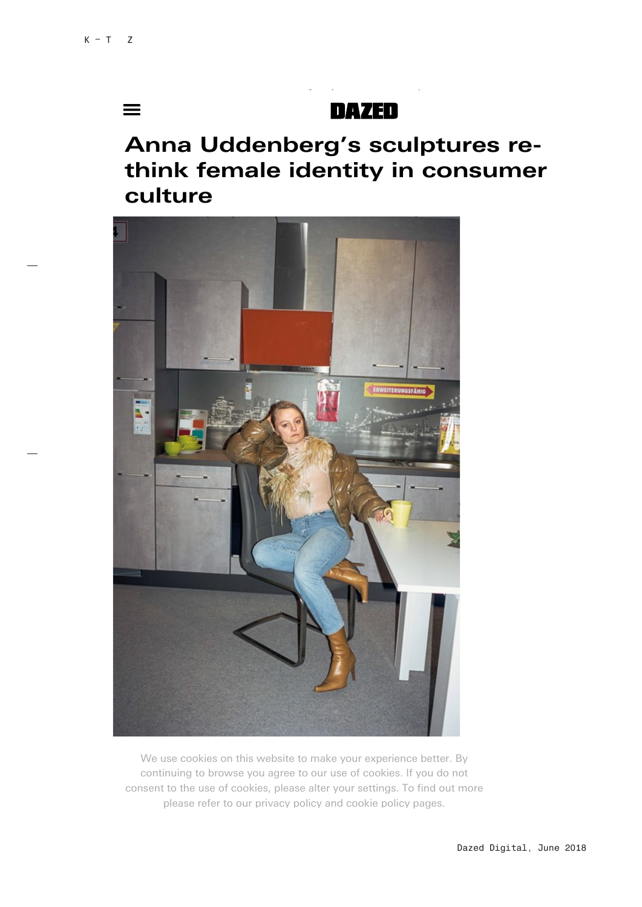$\equiv$ 

## **DAZED**

## Anna Uddenberg's sculptures rethink female identity in consumer culture

17/10/2018 Anna Uddenberg's sculptures re-think female identity in consumer culture | Dazed



We use cookies on this website to make your experience better. By consent to the use of cookies, please alter your settings. To find out more please refer to our privacy policy and cookie policy pages. continuing to browse you agree to our use of cookies. If you do not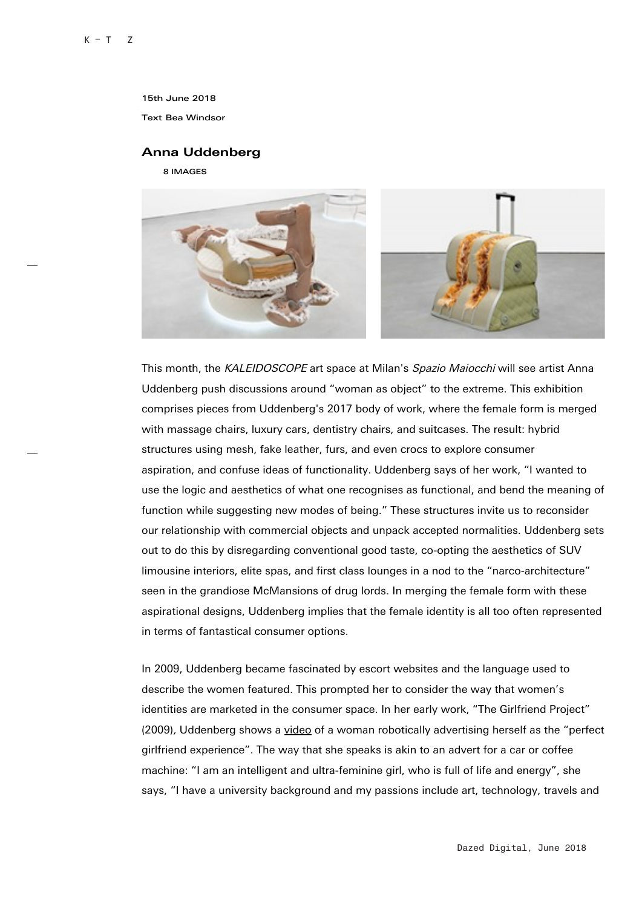15th June 2018

Text Bea Windsor

## Anna Uddenberg

8 IMAGES



This month, the KALEIDOSCOPE art space at Milan's Spazio Maiocchi will see artist Anna Uddenberg push discussions around "woman as object" to the extreme. This exhibition comprises pieces from Uddenberg's 2017 body of work, where the female form is merged with massage chairs, luxury cars, dentistry chairs, and suitcases. The result: hybrid structures using mesh, fake leather, furs, and even crocs to explore consumer aspiration, and confuse ideas of functionality. Uddenberg says of her work, "I wanted to use the logic and aesthetics of what one recognises as functional, and bend the meaning of function while suggesting new modes of being." These structures invite us to reconsider our relationship with commercial objects and unpack accepted normalities. Uddenberg sets out to do this by disregarding conventional good taste, co-opting the aesthetics of SUV limousine interiors, elite spas, and first class lounges in a nod to the "narco-architecture" seen in the grandiose McMansions of drug lords. In merging the female form with these aspirational designs, Uddenberg implies that the female identity is all too often represented in terms of fantastical consumer options.

In 2009, Uddenberg became fascinated by escort websites and the language used to describe the women featured. This prompted her to consider the way that women's identities are marketed in the consumer space. In her early work, "The Girlfriend Project" (2009), Uddenberg shows a video of a woman robotically advertising herself as the "perfect girlfriend experience". The way that she speaks is akin to an advert for a car or coffee machine: "I am an intelligent and ultra-feminine girl, who is full of life and energy", she says, "I have a university background and my passions include art, technology, travels and